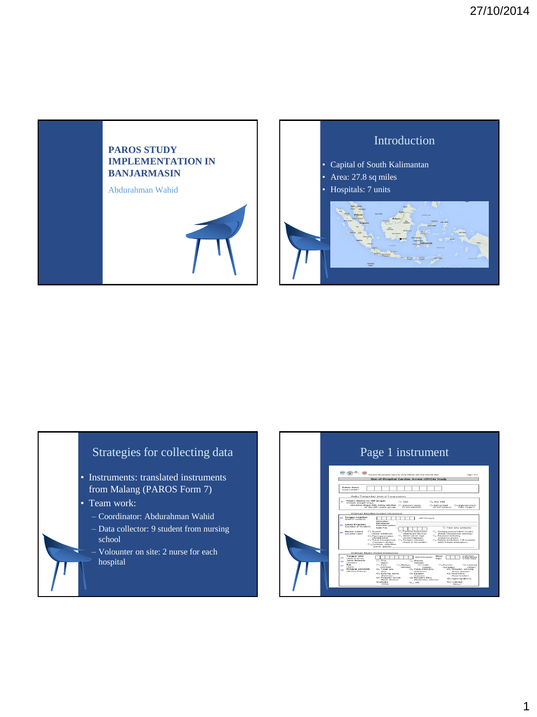

## Strategies for collecting data

- Instruments: translated instruments from Malang (PAROS Form 7)
- Team work:
	- Coordinator: Abdurahman Wahid
	- Data collector: 9 student from nursing school
	- Volounter on site: 2 nurse for each hospital

#### Page 1 instrumenthen Asian Resuscitation Outcomes Study (PAROS); EAS & ED Data KG RSSA<br>Out-of-Hospital Cardiac Arrest (OHCA) Stud  $\Box$  .  $\Box$  . Kasus<br>mberi **Cig Non-EMS**<br>Ci*s Mobil pribadi*<br>*Private tranqui* .<br>□ *. Angkutan um* .<br>MS, tolong sebutkan<br>EMS : cleare concilui Tanggal kejar<br>mate of incide: Lokasi Kejadian<br>Gocation of incid  $\frac{1}{\sqrt{2}}$ **Macam Lokasi**<br>(Location type) ah/swasta Tanggal<br>(Date of b<br>Jenis Ke<br>(Gender)<br>Ras<br>(Race)<br>Riwayat<br>(Medical f